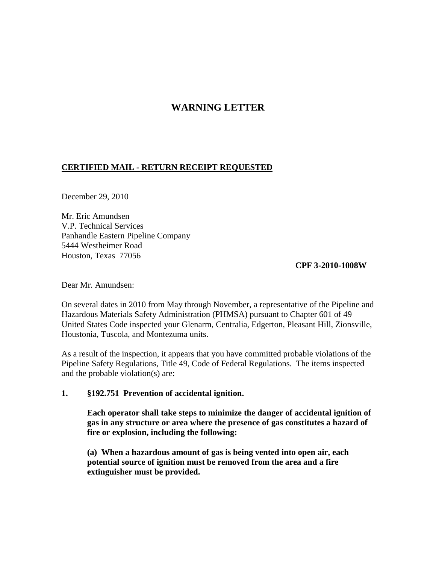# **WARNING LETTER**

## **CERTIFIED MAIL - RETURN RECEIPT REQUESTED**

December 29, 2010

Mr. Eric Amundsen V.P. Technical Services Panhandle Eastern Pipeline Company 5444 Westheimer Road Houston, Texas 77056

#### **CPF 3-2010-1008W**

Dear Mr. Amundsen:

On several dates in 2010 from May through November, a representative of the Pipeline and Hazardous Materials Safety Administration (PHMSA) pursuant to Chapter 601 of 49 United States Code inspected your Glenarm, Centralia, Edgerton, Pleasant Hill, Zionsville, Houstonia, Tuscola, and Montezuma units.

As a result of the inspection, it appears that you have committed probable violations of the Pipeline Safety Regulations, Title 49, Code of Federal Regulations. The items inspected and the probable violation(s) are:

#### **1. §192.751 Prevention of accidental ignition.**

**Each operator shall take steps to minimize the danger of accidental ignition of gas in any structure or area where the presence of gas constitutes a hazard of fire or explosion, including the following:**

**(a) When a hazardous amount of gas is being vented into open air, each potential source of ignition must be removed from the area and a fire extinguisher must be provided.**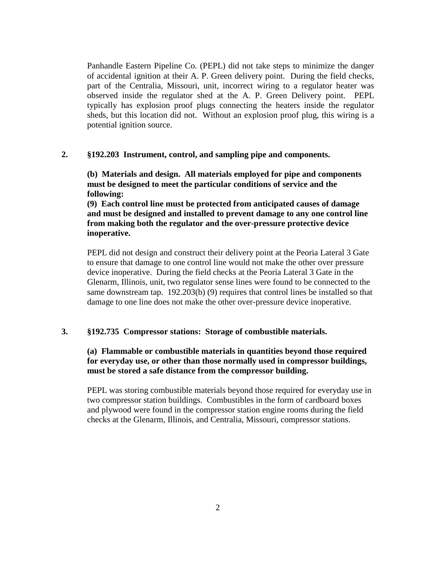Panhandle Eastern Pipeline Co. (PEPL) did not take steps to minimize the danger of accidental ignition at their A. P. Green delivery point. During the field checks, part of the Centralia, Missouri, unit, incorrect wiring to a regulator heater was observed inside the regulator shed at the A. P. Green Delivery point. PEPL typically has explosion proof plugs connecting the heaters inside the regulator sheds, but this location did not. Without an explosion proof plug, this wiring is a potential ignition source.

### **2. §192.203 Instrument, control, and sampling pipe and components.**

**(b) Materials and design. All materials employed for pipe and components must be designed to meet the particular conditions of service and the following:**

**(9) Each control line must be protected from anticipated causes of damage and must be designed and installed to prevent damage to any one control line from making both the regulator and the over-pressure protective device inoperative.**

PEPL did not design and construct their delivery point at the Peoria Lateral 3 Gate to ensure that damage to one control line would not make the other over pressure device inoperative. During the field checks at the Peoria Lateral 3 Gate in the Glenarm, Illinois, unit, two regulator sense lines were found to be connected to the same downstream tap. 192.203(b) (9) requires that control lines be installed so that damage to one line does not make the other over-pressure device inoperative.

#### **3. §192.735 Compressor stations: Storage of combustible materials.**

## **(a) Flammable or combustible materials in quantities beyond those required for everyday use, or other than those normally used in compressor buildings, must be stored a safe distance from the compressor building.**

PEPL was storing combustible materials beyond those required for everyday use in two compressor station buildings. Combustibles in the form of cardboard boxes and plywood were found in the compressor station engine rooms during the field checks at the Glenarm, Illinois, and Centralia, Missouri, compressor stations.